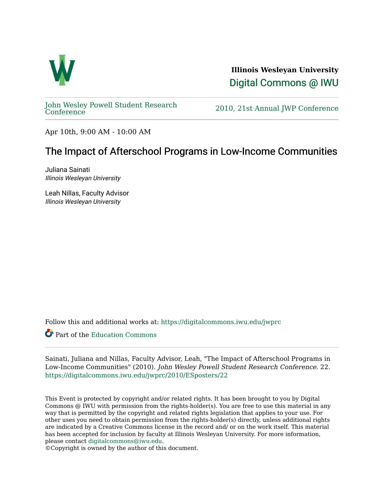

**Illinois Wesleyan University**  [Digital Commons @ IWU](https://digitalcommons.iwu.edu/) 

[John Wesley Powell Student Research](https://digitalcommons.iwu.edu/jwprc) 

2010, 21st Annual JWP [Conference](https://digitalcommons.iwu.edu/jwprc)

Apr 10th, 9:00 AM - 10:00 AM

## The Impact of Afterschool Programs in Low-Income Communities

Juliana Sainati Illinois Wesleyan University

Leah Nillas, Faculty Advisor Illinois Wesleyan University

Follow this and additional works at: [https://digitalcommons.iwu.edu/jwprc](https://digitalcommons.iwu.edu/jwprc?utm_source=digitalcommons.iwu.edu%2Fjwprc%2F2010%2FESposters%2F22&utm_medium=PDF&utm_campaign=PDFCoverPages) 

Part of the [Education Commons](http://network.bepress.com/hgg/discipline/784?utm_source=digitalcommons.iwu.edu%2Fjwprc%2F2010%2FESposters%2F22&utm_medium=PDF&utm_campaign=PDFCoverPages)

Sainati, Juliana and Nillas, Faculty Advisor, Leah, "The Impact of Afterschool Programs in Low-Income Communities" (2010). John Wesley Powell Student Research Conference. 22. [https://digitalcommons.iwu.edu/jwprc/2010/ESposters/22](https://digitalcommons.iwu.edu/jwprc/2010/ESposters/22?utm_source=digitalcommons.iwu.edu%2Fjwprc%2F2010%2FESposters%2F22&utm_medium=PDF&utm_campaign=PDFCoverPages) 

This Event is protected by copyright and/or related rights. It has been brought to you by Digital Commons @ IWU with permission from the rights-holder(s). You are free to use this material in any way that is permitted by the copyright and related rights legislation that applies to your use. For other uses you need to obtain permission from the rights-holder(s) directly, unless additional rights are indicated by a Creative Commons license in the record and/ or on the work itself. This material has been accepted for inclusion by faculty at Illinois Wesleyan University. For more information, please contact [digitalcommons@iwu.edu.](mailto:digitalcommons@iwu.edu)

©Copyright is owned by the author of this document.